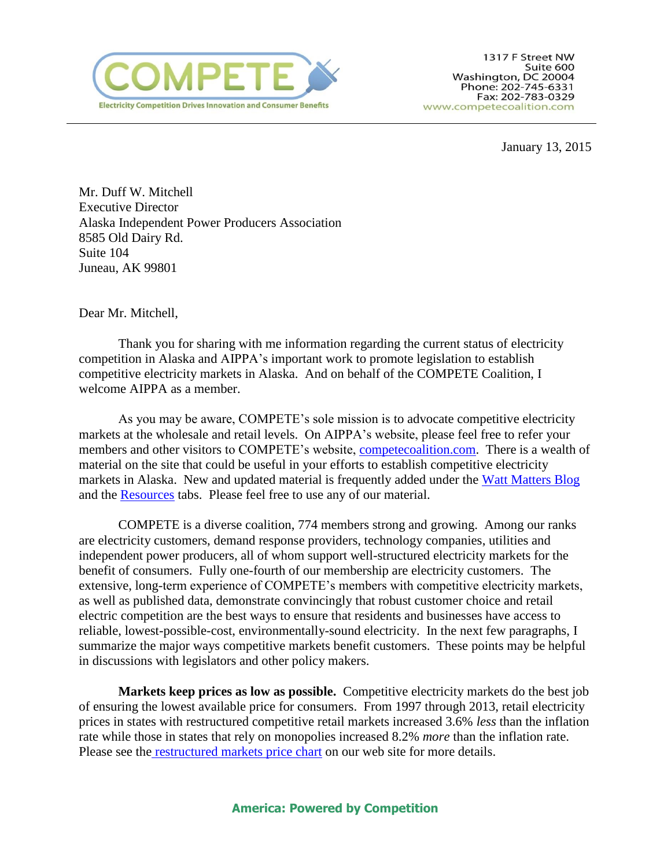

January 13, 2015

Mr. Duff W. Mitchell Executive Director Alaska Independent Power Producers Association 8585 Old Dairy Rd. Suite 104 Juneau, AK 99801

Dear Mr. Mitchell,

Thank you for sharing with me information regarding the current status of electricity competition in Alaska and AIPPA's important work to promote legislation to establish competitive electricity markets in Alaska. And on behalf of the COMPETE Coalition, I welcome AIPPA as a member.

As you may be aware, COMPETE's sole mission is to advocate competitive electricity markets at the wholesale and retail levels. On AIPPA's website, please feel free to refer your members and other visitors to COMPETE's website, compete coalition.com. There is a wealth of material on the site that could be useful in your efforts to establish competitive electricity markets in Alaska. New and updated material is frequently added under the [Watt Matters](http://www.competecoalition.com/blog) Blog and the [Resources](http://www.competecoalition.com/resources) tabs. Please feel free to use any of our material.

COMPETE is a diverse coalition, 774 members strong and growing. Among our ranks are electricity customers, demand response providers, technology companies, utilities and independent power producers, all of whom support well-structured electricity markets for the benefit of consumers. Fully one-fourth of our membership are electricity customers. The extensive, long-term experience of COMPETE's members with competitive electricity markets, as well as published data, demonstrate convincingly that robust customer choice and retail electric competition are the best ways to ensure that residents and businesses have access to reliable, lowest-possible-cost, environmentally-sound electricity. In the next few paragraphs, I summarize the major ways competitive markets benefit customers. These points may be helpful in discussions with legislators and other policy makers.

**Markets keep prices as low as possible.** Competitive electricity markets do the best job of ensuring the lowest available price for consumers. From 1997 through 2013, retail electricity prices in states with restructured competitive retail markets increased 3.6% *less* than the inflation rate while those in states that rely on monopolies increased 8.2% *more* than the inflation rate. Please see the **[restructured markets price chart](http://www.competecoalition.com/files/EIA%20restructured%20states%20data%20chart%20April%202014%20update_0.pdf)** on our web site for more details.

## **America: Powered by Competition**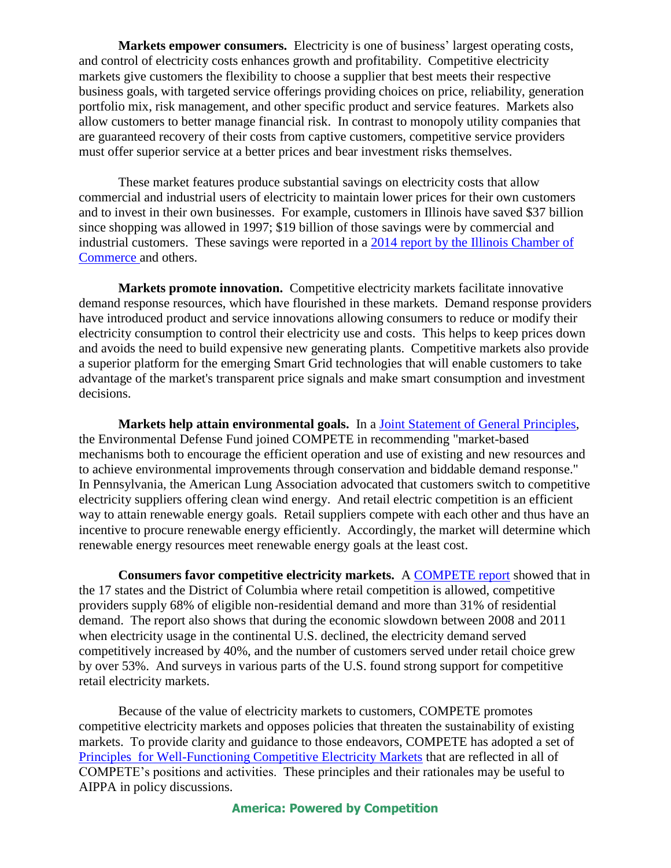**Markets empower consumers.** Electricity is one of business' largest operating costs, and control of electricity costs enhances growth and profitability. Competitive electricity markets give customers the flexibility to choose a supplier that best meets their respective business goals, with targeted service offerings providing choices on price, reliability, generation portfolio mix, risk management, and other specific product and service features. Markets also allow customers to better manage financial risk. In contrast to monopoly utility companies that are guaranteed recovery of their costs from captive customers, competitive service providers must offer superior service at a better prices and bear investment risks themselves.

These market features produce substantial savings on electricity costs that allow commercial and industrial users of electricity to maintain lower prices for their own customers and to invest in their own businesses. For example, customers in Illinois have saved \$37 billion since shopping was allowed in 1997; \$19 billion of those savings were by commercial and industrial customers. These savings were reported in a [2014 report by the Illinois Chamber of](http://www.ima-net.org/storage/Illinois%20Energy%20Reform%20Feb%202014.pdf)  [Commerce a](http://www.ima-net.org/storage/Illinois%20Energy%20Reform%20Feb%202014.pdf)nd others.

**Markets promote innovation.** Competitive electricity markets facilitate innovative demand response resources, which have flourished in these markets. Demand response providers have introduced product and service innovations allowing consumers to reduce or modify their electricity consumption to control their electricity use and costs. This helps to keep prices down and avoids the need to build expensive new generating plants. Competitive markets also provide a superior platform for the emerging Smart Grid technologies that will enable customers to take advantage of the market's transparent price signals and make smart consumption and investment decisions.

**Markets help attain environmental goals.** In a [Joint Statement of General Principles,](http://www.competecoalition.com/files/EDF%20COMPETE%20Joint%20Statement%20FINAL.pdf) the Environmental Defense Fund joined COMPETE in recommending "market-based mechanisms both to encourage the efficient operation and use of existing and new resources and to achieve environmental improvements through conservation and biddable demand response." In Pennsylvania, the American Lung Association advocated that customers switch to competitive electricity suppliers offering clean wind energy. And retail electric competition is an efficient way to attain renewable energy goals. Retail suppliers compete with each other and thus have an incentive to procure renewable energy efficiently. Accordingly, the market will determine which renewable energy resources meet renewable energy goals at the least cost.

**Consumers favor competitive electricity markets.** A [COMPETE report](http://www.competecoalition.com/files/Compete%20Coalition%20Report%202012.pdf) showed that in the 17 states and the District of Columbia where retail competition is allowed, competitive providers supply 68% of eligible non-residential demand and more than 31% of residential demand. The report also shows that during the economic slowdown between 2008 and 2011 when electricity usage in the continental U.S. declined, the electricity demand served competitively increased by 40%, and the number of customers served under retail choice grew by over 53%. And surveys in various parts of the U.S. found strong support for competitive retail electricity markets.

Because of the value of electricity markets to customers, COMPETE promotes competitive electricity markets and opposes policies that threaten the sustainability of existing markets. To provide clarity and guidance to those endeavors, COMPETE has adopted a set of [Principles for Well-Functioning Competitive Electricity Markets](http://www.competecoalition.com/files/COMPETE%20Market%20Principles.pdf) that are reflected in all of COMPETE's positions and activities. These principles and their rationales may be useful to AIPPA in policy discussions.

## **America: Powered by Competition**